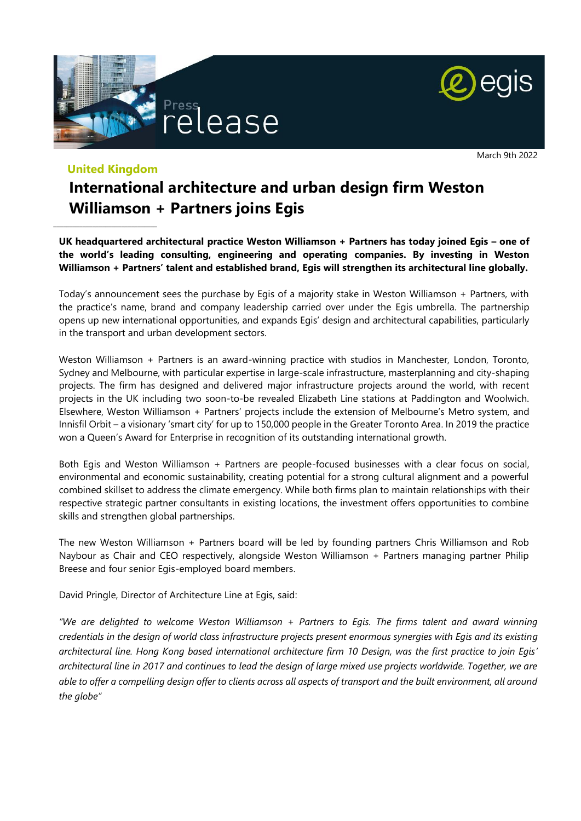



**United Kingdom**

\_\_\_\_\_\_\_\_\_\_\_\_\_\_\_\_\_\_\_\_\_\_\_\_\_\_\_\_\_\_\_\_

## **International architecture and urban design firm Weston Williamson + Partners joins Egis**

**UK headquartered architectural practice Weston Williamson + Partners has today joined Egis – one of the world's leading consulting, engineering and operating companies. By investing in Weston Williamson + Partners' talent and established brand, Egis will strengthen its architectural line globally.** 

Today's announcement sees the purchase by Egis of a majority stake in Weston Williamson + Partners, with the practice's name, brand and company leadership carried over under the Egis umbrella. The partnership opens up new international opportunities, and expands Egis' design and architectural capabilities, particularly in the transport and urban development sectors.

Weston Williamson + Partners is an award-winning practice with studios in Manchester, London, Toronto, Sydney and Melbourne, with particular expertise in large-scale infrastructure, masterplanning and city-shaping projects. The firm has designed and delivered major infrastructure projects around the world, with recent projects in the UK including two soon-to-be revealed Elizabeth Line stations at Paddington and Woolwich. Elsewhere, Weston Williamson + Partners' projects include the extension of Melbourne's Metro system, and Innisfil Orbit – a visionary 'smart city' for up to 150,000 people in the Greater Toronto Area. In 2019 the practice won a Queen's Award for Enterprise in recognition of its outstanding international growth.

Both Egis and Weston Williamson + Partners are people-focused businesses with a clear focus on social, environmental and economic sustainability, creating potential for a strong cultural alignment and a powerful combined skillset to address the climate emergency. While both firms plan to maintain relationships with their respective strategic partner consultants in existing locations, the investment offers opportunities to combine skills and strengthen global partnerships.

The new Weston Williamson + Partners board will be led by founding partners Chris Williamson and Rob Naybour as Chair and CEO respectively, alongside Weston Williamson + Partners managing partner Philip Breese and four senior Egis-employed board members.

David Pringle, Director of Architecture Line at Egis, said:

*"We are delighted to welcome Weston Williamson + Partners to Egis. The firms talent and award winning credentials in the design of world class infrastructure projects present enormous synergies with Egis and its existing architectural line. Hong Kong based international architecture firm 10 Design, was the first practice to join Egis' architectural line in 2017 and continues to lead the design of large mixed use projects worldwide. Together, we are able to offer a compelling design offer to clients across all aspects of transport and the built environment, all around the globe"*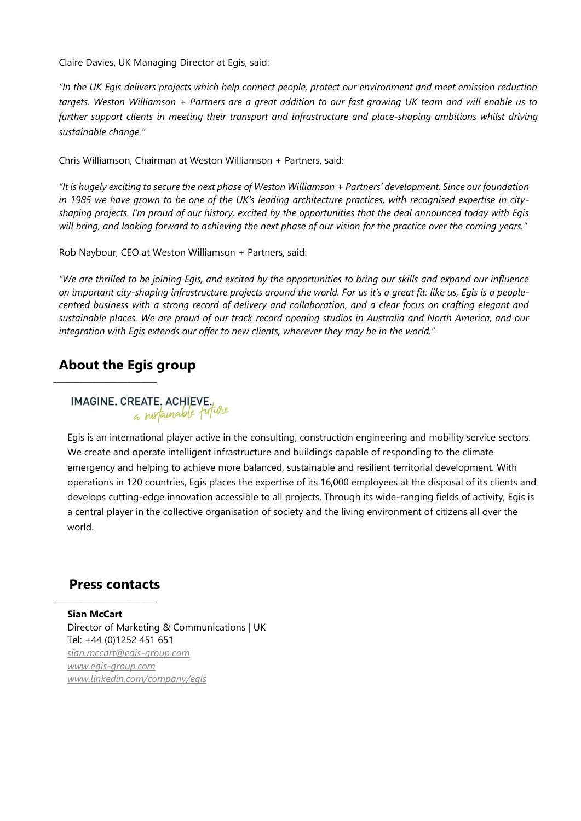Claire Davies, UK Managing Director at Egis, said:

*"In the UK Egis delivers projects which help connect people, protect our environment and meet emission reduction targets. Weston Williamson + Partners are a great addition to our fast growing UK team and will enable us to further support clients in meeting their transport and infrastructure and place-shaping ambitions whilst driving sustainable change."*

Chris Williamson, Chairman at Weston Williamson + Partners, said:

*"It is hugely exciting to secure the next phase of Weston Williamson + Partners' development. Since our foundation in 1985 we have grown to be one of the UK's leading architecture practices, with recognised expertise in cityshaping projects. I'm proud of our history, excited by the opportunities that the deal announced today with Egis will bring, and looking forward to achieving the next phase of our vision for the practice over the coming years."*

Rob Naybour, CEO at Weston Williamson + Partners, said:

*"We are thrilled to be joining Egis, and excited by the opportunities to bring our skills and expand our influence on important city-shaping infrastructure projects around the world. For us it's a great fit: like us, Egis is a peoplecentred business with a strong record of delivery and collaboration, and a clear focus on crafting elegant and sustainable places. We are proud of our track record opening studios in Australia and North America, and our integration with Egis extends our offer to new clients, wherever they may be in the world."* 

## **About the Egis group**

 $\_$ 

**IMAGINE. CREATE. ACHIEVE.**<br>a sustainable future

Egis is an international player active in the consulting, construction engineering and mobility service sectors. We create and operate intelligent infrastructure and buildings capable of responding to the climate emergency and helping to achieve more balanced, sustainable and resilient territorial development. With operations in 120 countries, Egis places the expertise of its 16,000 employees at the disposal of its clients and develops cutting-edge innovation accessible to all projects. Through its wide-ranging fields of activity, Egis is a central player in the collective organisation of society and the living environment of citizens all over the world.

## **Press contacts**

 $\_$ 

**Sian McCart** Director of Marketing & Communications | UK Tel: +44 (0)1252 451 651 *[sian.mccart@egis-group.com](mailto:sian.mccart@egis-group.com) [www.egis-group.com](http://www.egis-group.com/) [www.linkedin.com/company/egis](http://www.linkedin.com/company/egis)*